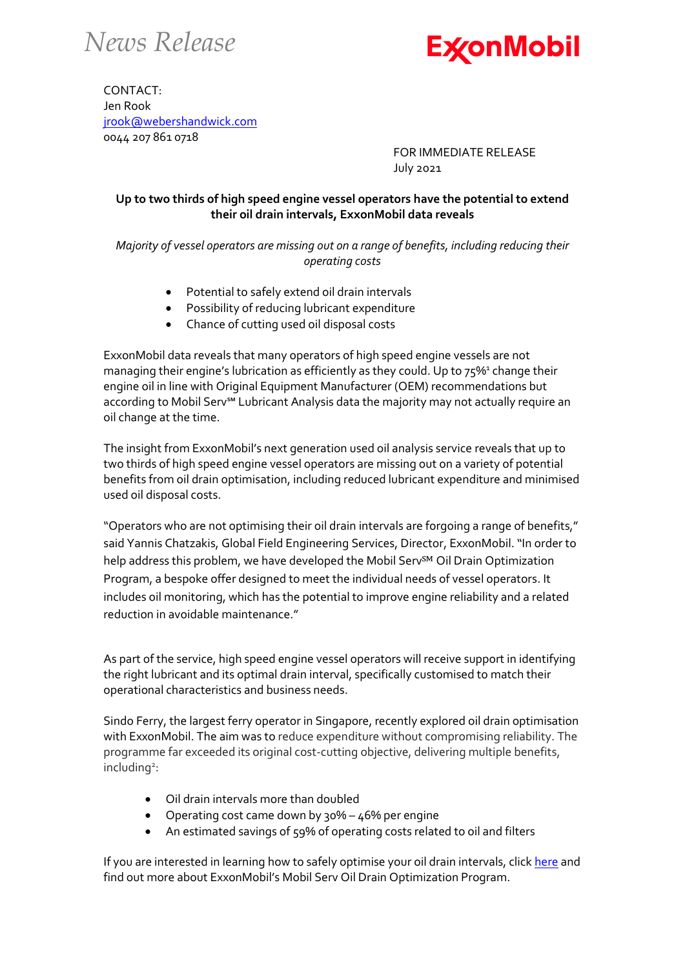*News Release*



CONTACT: Jen Rook [jrook@webershandwick.com](mailto:jrook@webershandwick.com) 0044 207 861 0718

> FOR IMMEDIATE RELEASE July 2021

## **Up to two thirds of high speed engine vessel operators have the potential to extend their oil drain intervals, ExxonMobil data reveals**

*Majority of vessel operators are missing out on a range of benefits, including reducing their operating costs*

- Potential to safely extend oil drain intervals
- Possibility of reducing lubricant expenditure
- Chance of cutting used oil disposal costs

ExxonMobil data reveals that many operators of high speed engine vessels are not managing their engine's lubrication as efficiently as they could. Up to 75%<sup>1</sup> change their engine oil in line with Original Equipment Manufacturer (OEM) recommendations but according to Mobil Serv℠ Lubricant Analysis data the majority may not actually require an oil change at the time.

The insight from ExxonMobil's next generation used oil analysis service reveals that up to two thirds of high speed engine vessel operators are missing out on a variety of potential benefits from oil drain optimisation, including reduced lubricant expenditure and minimised used oil disposal costs.

"Operators who are not optimising their oil drain intervals are forgoing a range of benefits," said Yannis Chatzakis, Global Field Engineering Services, Director, ExxonMobil. "In order to help address this problem, we have developed the Mobil Serv<sup>SM</sup> Oil Drain Optimization Program, a bespoke offer designed to meet the individual needs of vessel operators. It includes oil monitoring, which has the potential to improve engine reliability and a related reduction in avoidable maintenance."

As part of the service, high speed engine vessel operators will receive support in identifying the right lubricant and its optimal drain interval, specifically customised to match their operational characteristics and business needs.

Sindo Ferry, the largest ferry operator in Singapore, recently explored oil drain optimisation with ExxonMobil. The aim was to reduce expenditure without compromising reliability. The programme far exceeded its original cost-cutting objective, delivering multiple benefits, including<sup>2</sup>:

- Oil drain intervals more than doubled
- Operating cost came down by 30% 46% per engine
- An estimated savings of 59% of operating costs related to oil and filters

If you are interested in learning how to safely optimise your oil drain intervals, click [here](https://www.exxonmobil.com/en/marine/services/mobil-serv-oil-drain-optimization-program) and find out more about ExxonMobil's Mobil Serv Oil Drain Optimization Program.